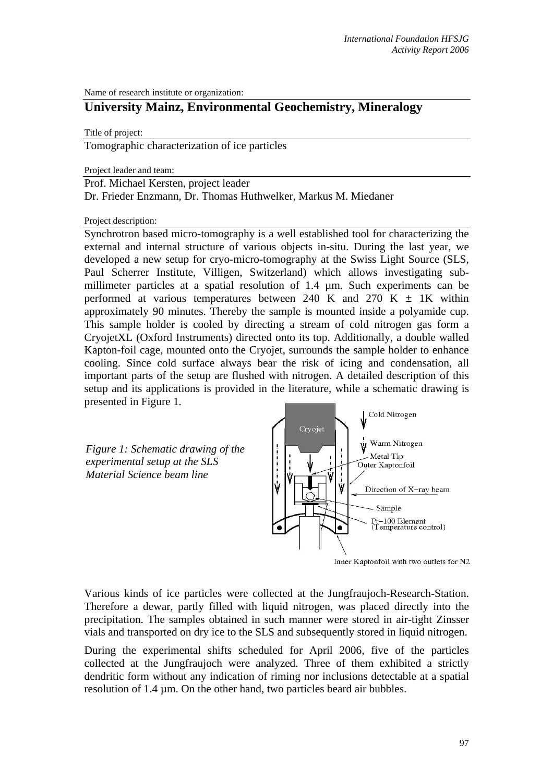Name of research institute or organization:

## **University Mainz, Environmental Geochemistry, Mineralogy**

Title of project:

Tomographic characterization of ice particles

Project leader and team:

Prof. Michael Kersten, project leader Dr. Frieder Enzmann, Dr. Thomas Huthwelker, Markus M. Miedaner

Project description:

Synchrotron based micro-tomography is a well established tool for characterizing the external and internal structure of various objects in-situ. During the last year, we developed a new setup for cryo-micro-tomography at the Swiss Light Source (SLS, Paul Scherrer Institute, Villigen, Switzerland) which allows investigating submillimeter particles at a spatial resolution of 1.4 µm. Such experiments can be performed at various temperatures between 240 K and 270 K  $\pm$  1K within approximately 90 minutes. Thereby the sample is mounted inside a polyamide cup. This sample holder is cooled by directing a stream of cold nitrogen gas form a CryojetXL (Oxford Instruments) directed onto its top. Additionally, a double walled Kapton-foil cage, mounted onto the Cryojet, surrounds the sample holder to enhance cooling. Since cold surface always bear the risk of icing and condensation, all important parts of the setup are flushed with nitrogen. A detailed description of this setup and its applications is provided in the literature, while a schematic drawing is presented in Figure 1.

*Figure 1: Schematic drawing of the experimental setup at the SLS Material Science beam line* 



Inner Kaptonfoil with two outlets for N2

Various kinds of ice particles were collected at the Jungfraujoch-Research-Station. Therefore a dewar, partly filled with liquid nitrogen, was placed directly into the precipitation. The samples obtained in such manner were stored in air-tight Zinsser vials and transported on dry ice to the SLS and subsequently stored in liquid nitrogen.

During the experimental shifts scheduled for April 2006, five of the particles collected at the Jungfraujoch were analyzed. Three of them exhibited a strictly dendritic form without any indication of riming nor inclusions detectable at a spatial resolution of 1.4 µm. On the other hand, two particles beard air bubbles.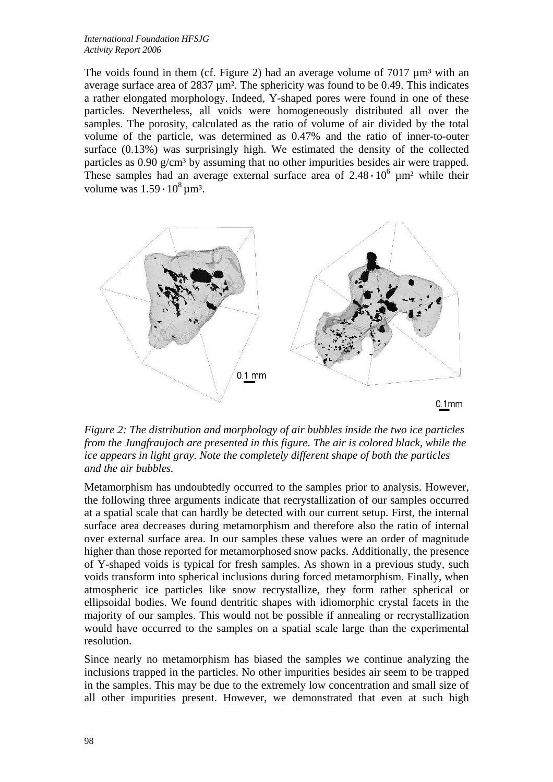The voids found in them (cf. Figure 2) had an average volume of  $7017 \mu m^3$  with an average surface area of  $2837 \mu m^2$ . The sphericity was found to be 0.49. This indicates a rather elongated morphology. Indeed, Y-shaped pores were found in one of these particles. Nevertheless, all voids were homogeneously distributed all over the samples. The porosity, calculated as the ratio of volume of air divided by the total volume of the particle, was determined as 0.47% and the ratio of inner-to-outer surface (0.13%) was surprisingly high. We estimated the density of the collected particles as  $0.90 \text{ g/cm}^3$  by assuming that no other impurities besides air were trapped. These samples had an average external surface area of  $2.48 \cdot 10^6$   $\mu$ m<sup>2</sup> while their volume was  $1.59 \cdot 10^8$  um<sup>3</sup>.



*Figure 2: The distribution and morphology of air bubbles inside the two ice particles from the Jungfraujoch are presented in this figure. The air is colored black, while the ice appears in light gray. Note the completely different shape of both the particles and the air bubbles.* 

Metamorphism has undoubtedly occurred to the samples prior to analysis. However, the following three arguments indicate that recrystallization of our samples occurred at a spatial scale that can hardly be detected with our current setup. First, the internal surface area decreases during metamorphism and therefore also the ratio of internal over external surface area. In our samples these values were an order of magnitude higher than those reported for metamorphosed snow packs. Additionally, the presence of Y-shaped voids is typical for fresh samples. As shown in a previous study, such voids transform into spherical inclusions during forced metamorphism. Finally, when atmospheric ice particles like snow recrystallize, they form rather spherical or ellipsoidal bodies. We found dentritic shapes with idiomorphic crystal facets in the majority of our samples. This would not be possible if annealing or recrystallization would have occurred to the samples on a spatial scale large than the experimental resolution.

Since nearly no metamorphism has biased the samples we continue analyzing the inclusions trapped in the particles. No other impurities besides air seem to be trapped in the samples. This may be due to the extremely low concentration and small size of all other impurities present. However, we demonstrated that even at such high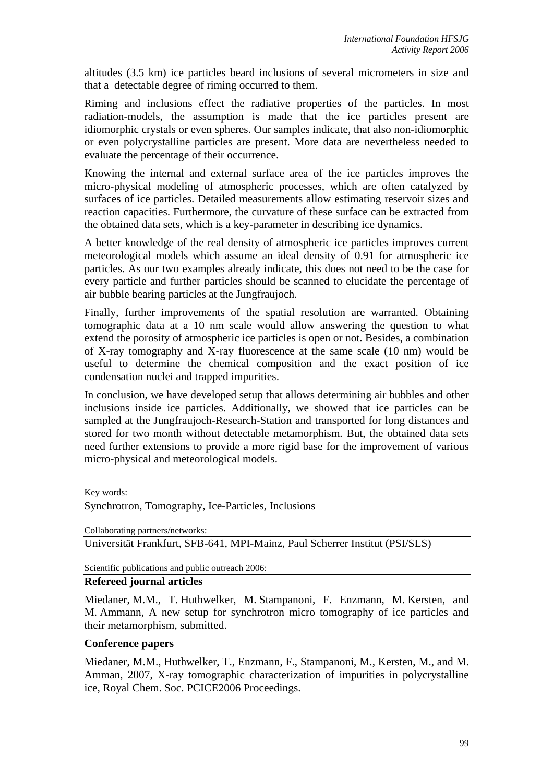altitudes (3.5 km) ice particles beard inclusions of several micrometers in size and that a detectable degree of riming occurred to them.

Riming and inclusions effect the radiative properties of the particles. In most radiation-models, the assumption is made that the ice particles present are idiomorphic crystals or even spheres. Our samples indicate, that also non-idiomorphic or even polycrystalline particles are present. More data are nevertheless needed to evaluate the percentage of their occurrence.

Knowing the internal and external surface area of the ice particles improves the micro-physical modeling of atmospheric processes, which are often catalyzed by surfaces of ice particles. Detailed measurements allow estimating reservoir sizes and reaction capacities. Furthermore, the curvature of these surface can be extracted from the obtained data sets, which is a key-parameter in describing ice dynamics.

A better knowledge of the real density of atmospheric ice particles improves current meteorological models which assume an ideal density of 0.91 for atmospheric ice particles. As our two examples already indicate, this does not need to be the case for every particle and further particles should be scanned to elucidate the percentage of air bubble bearing particles at the Jungfraujoch.

Finally, further improvements of the spatial resolution are warranted. Obtaining tomographic data at a 10 nm scale would allow answering the question to what extend the porosity of atmospheric ice particles is open or not. Besides, a combination of X-ray tomography and X-ray fluorescence at the same scale (10 nm) would be useful to determine the chemical composition and the exact position of ice condensation nuclei and trapped impurities.

In conclusion, we have developed setup that allows determining air bubbles and other inclusions inside ice particles. Additionally, we showed that ice particles can be sampled at the Jungfraujoch-Research-Station and transported for long distances and stored for two month without detectable metamorphism. But, the obtained data sets need further extensions to provide a more rigid base for the improvement of various micro-physical and meteorological models.

Key words:

Synchrotron, Tomography, Ice-Particles, Inclusions

Collaborating partners/networks:

Universität Frankfurt, SFB-641, MPI-Mainz, Paul Scherrer Institut (PSI/SLS)

Scientific publications and public outreach 2006:

## **Refereed journal articles**

Miedaner, M.M., T. Huthwelker, M. Stampanoni, F. Enzmann, M. Kersten, and M. Ammann, A new setup for synchrotron micro tomography of ice particles and their metamorphism, submitted.

## **Conference papers**

Miedaner, M.M., Huthwelker, T., Enzmann, F., Stampanoni, M., Kersten, M., and M. Amman, 2007, X-ray tomographic characterization of impurities in polycrystalline ice, Royal Chem. Soc. PCICE2006 Proceedings.